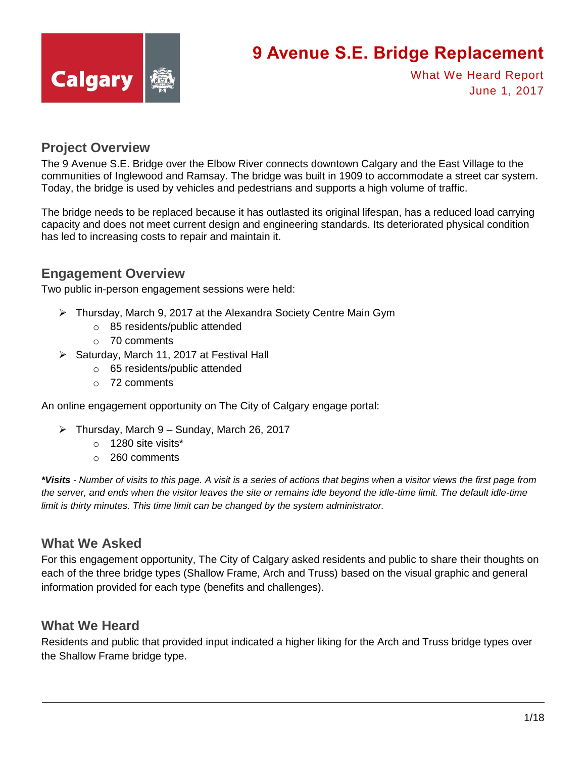

What We Heard Report June 1, 2017

#### **Project Overview**

The 9 Avenue S.E. Bridge over the Elbow River connects downtown Calgary and the East Village to the communities of Inglewood and Ramsay. The bridge was built in 1909 to accommodate a street car system. Today, the bridge is used by vehicles and pedestrians and supports a high volume of traffic.

The bridge needs to be replaced because it has outlasted its original lifespan, has a reduced load carrying capacity and does not meet current design and engineering standards. Its deteriorated physical condition has led to increasing costs to repair and maintain it.

#### **Engagement Overview**

Two public in-person engagement sessions were held:

- Thursday, March 9, 2017 at the Alexandra Society Centre Main Gym
	- o 85 residents/public attended
	- o 70 comments
- $\triangleright$  Saturday, March 11, 2017 at Festival Hall
	- o 65 residents/public attended
	- o 72 comments

An online engagement opportunity on The City of Calgary engage portal:

- $\triangleright$  Thursday, March 9 Sunday, March 26, 2017
	- o 1280 site visits\*
	- o 260 comments

*\*Visits - Number of visits to this page. A visit is a series of actions that begins when a visitor views the first page from*  the server, and ends when the visitor leaves the site or remains idle beyond the idle-time limit. The default idle-time *limit is thirty minutes. This time limit can be changed by the system administrator.*

#### **What We Asked**

For this engagement opportunity, The City of Calgary asked residents and public to share their thoughts on each of the three bridge types (Shallow Frame, Arch and Truss) based on the visual graphic and general information provided for each type (benefits and challenges).

#### **What We Heard**

Residents and public that provided input indicated a higher liking for the Arch and Truss bridge types over the Shallow Frame bridge type.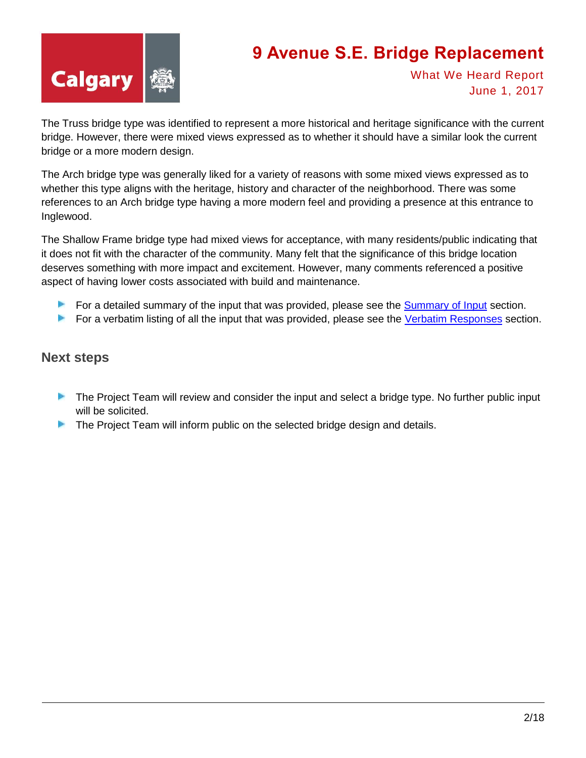

What We Heard Report June 1, 2017

The Truss bridge type was identified to represent a more historical and heritage significance with the current bridge. However, there were mixed views expressed as to whether it should have a similar look the current bridge or a more modern design.

The Arch bridge type was generally liked for a variety of reasons with some mixed views expressed as to whether this type aligns with the heritage, history and character of the neighborhood. There was some references to an Arch bridge type having a more modern feel and providing a presence at this entrance to Inglewood.

The Shallow Frame bridge type had mixed views for acceptance, with many residents/public indicating that it does not fit with the character of the community. Many felt that the significance of this bridge location deserves something with more impact and excitement. However, many comments referenced a positive aspect of having lower costs associated with build and maintenance.

- For a detailed summary of the input that was provided, please see the **[Summary of Input](#page-2-0)** section.
- **For a verbatim listing of all the input that was provided, please see the [Verbatim Responses](#page-4-0) section.**

#### **Next steps**

- **The Project Team will review and consider the input and select a bridge type. No further public input** will be solicited.
- **The Project Team will inform public on the selected bridge design and details.**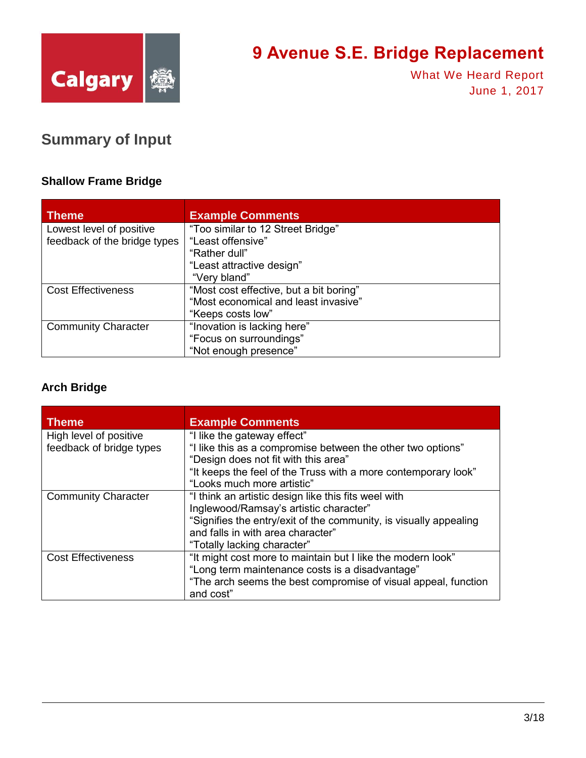

What We Heard Report June 1, 2017

#### <span id="page-2-0"></span>**Summary of Input**

#### **Shallow Frame Bridge**

| <b>Theme</b>                 | <b>Example Comments</b>                 |
|------------------------------|-----------------------------------------|
| Lowest level of positive     | "Too similar to 12 Street Bridge"       |
| feedback of the bridge types | "Least offensive"                       |
|                              | "Rather dull"                           |
|                              | "Least attractive design"               |
|                              | "Very bland"                            |
| <b>Cost Effectiveness</b>    | "Most cost effective, but a bit boring" |
|                              | "Most economical and least invasive"    |
|                              | "Keeps costs low"                       |
| <b>Community Character</b>   | "Inovation is lacking here"             |
|                              | "Focus on surroundings"                 |
|                              | "Not enough presence"                   |

#### **Arch Bridge**

| <b>Theme</b>               | <b>Example Comments</b>                                           |
|----------------------------|-------------------------------------------------------------------|
| High level of positive     | "I like the gateway effect"                                       |
| feedback of bridge types   | "I like this as a compromise between the other two options"       |
|                            | "Design does not fit with this area"                              |
|                            | "It keeps the feel of the Truss with a more contemporary look"    |
|                            | "Looks much more artistic"                                        |
| <b>Community Character</b> | "I think an artistic design like this fits weel with              |
|                            | Inglewood/Ramsay's artistic character"                            |
|                            | "Signifies the entry/exit of the community, is visually appealing |
|                            | and falls in with area character"                                 |
|                            | "Totally lacking character"                                       |
| <b>Cost Effectiveness</b>  | "It might cost more to maintain but I like the modern look"       |
|                            | "Long term maintenance costs is a disadvantage"                   |
|                            | "The arch seems the best compromise of visual appeal, function    |
|                            | and cost"                                                         |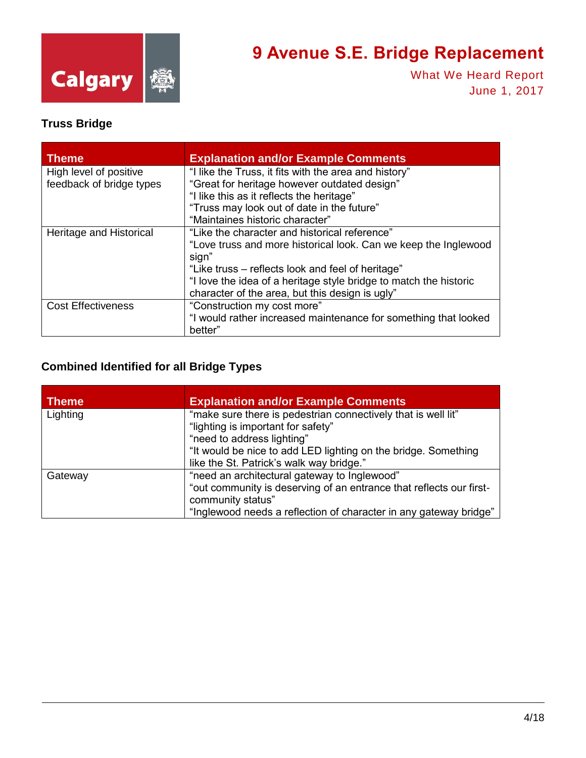

What We Heard Report June 1, 2017

#### **Truss Bridge**

| <b>Theme</b>              | <b>Explanation and/or Example Comments</b>                                 |
|---------------------------|----------------------------------------------------------------------------|
| High level of positive    | "I like the Truss, it fits with the area and history"                      |
| feedback of bridge types  | "Great for heritage however outdated design"                               |
|                           | "I like this as it reflects the heritage"                                  |
|                           | "Truss may look out of date in the future"                                 |
|                           | "Maintaines historic character"                                            |
| Heritage and Historical   | "Like the character and historical reference"                              |
|                           | "Love truss and more historical look. Can we keep the Inglewood<br>sign"   |
|                           | "Like truss – reflects look and feel of heritage"                          |
|                           | "I love the idea of a heritage style bridge to match the historic          |
|                           | character of the area, but this design is ugly"                            |
| <b>Cost Effectiveness</b> | "Construction my cost more"                                                |
|                           | "I would rather increased maintenance for something that looked<br>better" |

#### **Combined Identified for all Bridge Types**

| <b>Theme</b> | <b>Explanation and/or Example Comments</b>                                                                                                                                                                                                      |
|--------------|-------------------------------------------------------------------------------------------------------------------------------------------------------------------------------------------------------------------------------------------------|
| Lighting     | "make sure there is pedestrian connectively that is well lit"<br>"lighting is important for safety"<br>"need to address lighting"<br>"It would be nice to add LED lighting on the bridge. Something<br>like the St. Patrick's walk way bridge." |
| Gateway      | "need an architectural gateway to Inglewood"<br>"out community is deserving of an entrance that reflects our first-<br>community status"<br>"Inglewood needs a reflection of character in any gateway bridge"                                   |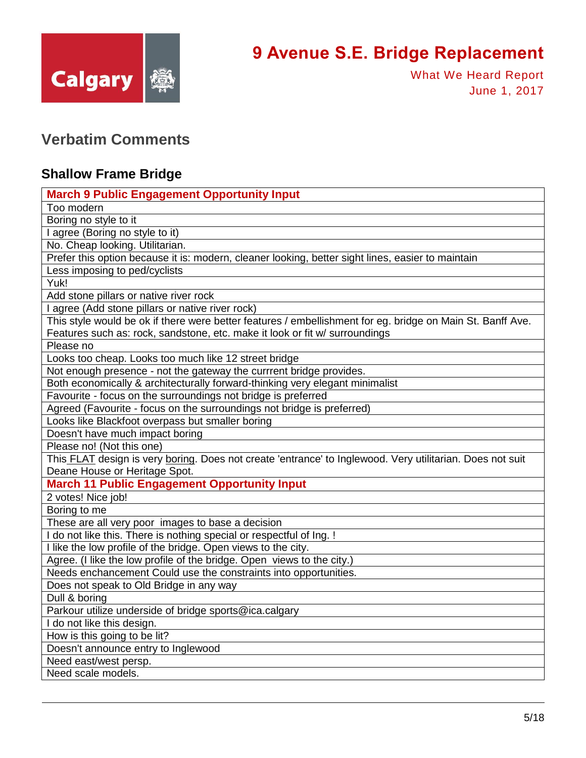

What We Heard Report June 1, 2017

#### <span id="page-4-0"></span>**Verbatim Comments**

#### **Shallow Frame Bridge**

| <b>March 9 Public Engagement Opportunity Input</b>                                                         |
|------------------------------------------------------------------------------------------------------------|
| Too modern                                                                                                 |
| Boring no style to it                                                                                      |
| I agree (Boring no style to it)                                                                            |
| No. Cheap looking. Utilitarian.                                                                            |
| Prefer this option because it is: modern, cleaner looking, better sight lines, easier to maintain          |
| Less imposing to ped/cyclists                                                                              |
| Yuk!                                                                                                       |
| Add stone pillars or native river rock                                                                     |
| I agree (Add stone pillars or native river rock)                                                           |
| This style would be ok if there were better features / embellishment for eg. bridge on Main St. Banff Ave. |
| Features such as: rock, sandstone, etc. make it look or fit w/ surroundings                                |
| Please no                                                                                                  |
| Looks too cheap. Looks too much like 12 street bridge                                                      |
| Not enough presence - not the gateway the currrent bridge provides.                                        |
| Both economically & architecturally forward-thinking very elegant minimalist                               |
| Favourite - focus on the surroundings not bridge is preferred                                              |
| Agreed (Favourite - focus on the surroundings not bridge is preferred)                                     |
| Looks like Blackfoot overpass but smaller boring                                                           |
| Doesn't have much impact boring                                                                            |
| Please no! (Not this one)                                                                                  |
| This FLAT design is very boring. Does not create 'entrance' to Inglewood. Very utilitarian. Does not suit  |
| Deane House or Heritage Spot.                                                                              |
| <b>March 11 Public Engagement Opportunity Input</b>                                                        |
| 2 votes! Nice job!                                                                                         |
| Boring to me                                                                                               |
| These are all very poor images to base a decision                                                          |
| I do not like this. There is nothing special or respectful of Ing. !                                       |
| I like the low profile of the bridge. Open views to the city.                                              |
| Agree. (I like the low profile of the bridge. Open views to the city.)                                     |
| Needs enchancement Could use the constraints into opportunities.                                           |
| Does not speak to Old Bridge in any way                                                                    |
| Dull & boring                                                                                              |
| Parkour utilize underside of bridge sports@ica.calgary                                                     |
| I do not like this design.                                                                                 |
| How is this going to be lit?                                                                               |
| Doesn't announce entry to Inglewood                                                                        |
| Need east/west persp.                                                                                      |
| Need scale models.                                                                                         |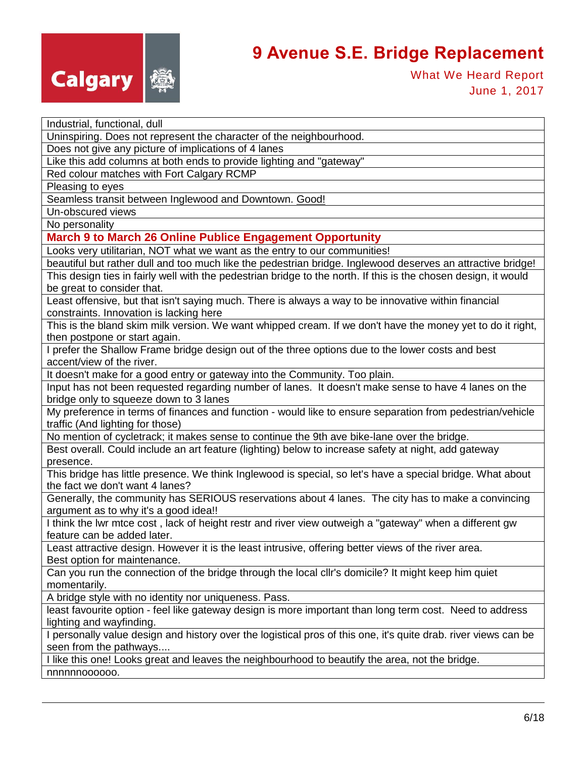

What We Heard Report June 1, 2017

| Industrial, functional, dull                                                                                                                  |
|-----------------------------------------------------------------------------------------------------------------------------------------------|
| Uninspiring. Does not represent the character of the neighbourhood.                                                                           |
| Does not give any picture of implications of 4 lanes                                                                                          |
| Like this add columns at both ends to provide lighting and "gateway"                                                                          |
| Red colour matches with Fort Calgary RCMP                                                                                                     |
| Pleasing to eyes                                                                                                                              |
| Seamless transit between Inglewood and Downtown. Good!                                                                                        |
| Un-obscured views                                                                                                                             |
| No personality                                                                                                                                |
| <b>March 9 to March 26 Online Publice Engagement Opportunity</b>                                                                              |
| Looks very utilitarian, NOT what we want as the entry to our communities!                                                                     |
| beautiful but rather dull and too much like the pedestrian bridge. Inglewood deserves an attractive bridge!                                   |
| This design ties in fairly well with the pedestrian bridge to the north. If this is the chosen design, it would                               |
| be great to consider that.                                                                                                                    |
| Least offensive, but that isn't saying much. There is always a way to be innovative within financial                                          |
| constraints. Innovation is lacking here                                                                                                       |
| This is the bland skim milk version. We want whipped cream. If we don't have the money yet to do it right,                                    |
| then postpone or start again.                                                                                                                 |
| I prefer the Shallow Frame bridge design out of the three options due to the lower costs and best                                             |
| accent/view of the river.                                                                                                                     |
| It doesn't make for a good entry or gateway into the Community. Too plain.                                                                    |
| Input has not been requested regarding number of lanes. It doesn't make sense to have 4 lanes on the                                          |
| bridge only to squeeze down to 3 lanes                                                                                                        |
| My preference in terms of finances and function - would like to ensure separation from pedestrian/vehicle<br>traffic (And lighting for those) |
| No mention of cycletrack; it makes sense to continue the 9th ave bike-lane over the bridge.                                                   |
| Best overall. Could include an art feature (lighting) below to increase safety at night, add gateway                                          |
| presence.                                                                                                                                     |
| This bridge has little presence. We think Inglewood is special, so let's have a special bridge. What about                                    |
| the fact we don't want 4 lanes?                                                                                                               |
| Generally, the community has SERIOUS reservations about 4 lanes. The city has to make a convincing<br>argument as to why it's a good idea!!   |
| I think the Iwr mtce cost, lack of height restr and river view outweigh a "gateway" when a different gw                                       |
| feature can be added later.                                                                                                                   |
| Least attractive design. However it is the least intrusive, offering better views of the river area.                                          |
| Best option for maintenance.                                                                                                                  |
| Can you run the connection of the bridge through the local cllr's domicile? It might keep him quiet                                           |
| momentarily.                                                                                                                                  |
| A bridge style with no identity nor uniqueness. Pass.                                                                                         |
| least favourite option - feel like gateway design is more important than long term cost. Need to address                                      |
| lighting and wayfinding.                                                                                                                      |
| I personally value design and history over the logistical pros of this one, it's quite drab. river views can be                               |
| seen from the pathways                                                                                                                        |
| I like this one! Looks great and leaves the neighbourhood to beautify the area, not the bridge.                                               |
| nnnnnn000000.                                                                                                                                 |
|                                                                                                                                               |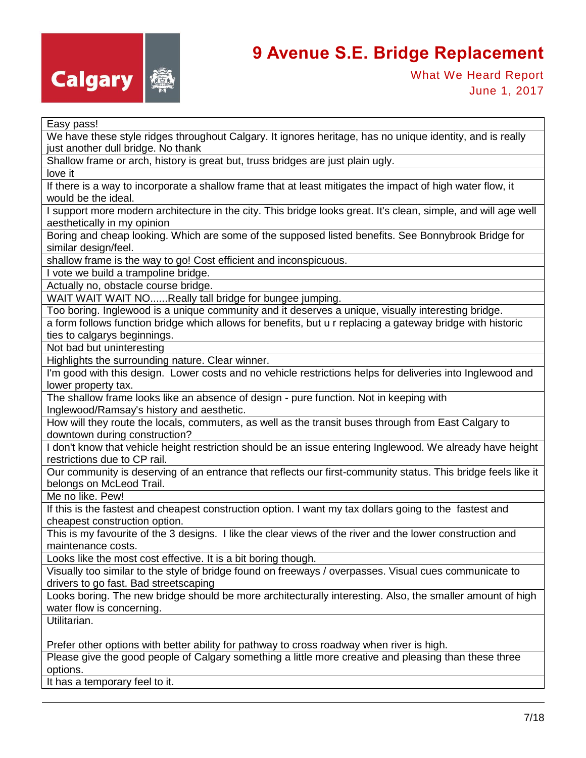

What We Heard Report June 1, 2017

We have these style ridges throughout Calgary. It ignores heritage, has no unique identity, and is really just another dull bridge. No thank

Shallow frame or arch, history is great but, truss bridges are just plain ugly.

love it

If there is a way to incorporate a shallow frame that at least mitigates the impact of high water flow, it would be the ideal.

I support more modern architecture in the city. This bridge looks great. It's clean, simple, and will age well aesthetically in my opinion

Boring and cheap looking. Which are some of the supposed listed benefits. See Bonnybrook Bridge for similar design/feel.

shallow frame is the way to go! Cost efficient and inconspicuous.

I vote we build a trampoline bridge.

Actually no, obstacle course bridge.

WAIT WAIT WAIT NO......Really tall bridge for bungee jumping.

Too boring. Inglewood is a unique community and it deserves a unique, visually interesting bridge.

a form follows function bridge which allows for benefits, but u r replacing a gateway bridge with historic ties to calgarys beginnings.

Not bad but uninteresting

Highlights the surrounding nature. Clear winner.

I'm good with this design. Lower costs and no vehicle restrictions helps for deliveries into Inglewood and lower property tax.

The shallow frame looks like an absence of design - pure function. Not in keeping with Inglewood/Ramsay's history and aesthetic.

How will they route the locals, commuters, as well as the transit buses through from East Calgary to downtown during construction?

I don't know that vehicle height restriction should be an issue entering Inglewood. We already have height restrictions due to CP rail.

Our community is deserving of an entrance that reflects our first-community status. This bridge feels like it belongs on McLeod Trail.

Me no like. Pew!

If this is the fastest and cheapest construction option. I want my tax dollars going to the fastest and cheapest construction option.

This is my favourite of the 3 designs. I like the clear views of the river and the lower construction and maintenance costs.

Looks like the most cost effective. It is a bit boring though.

Visually too similar to the style of bridge found on freeways / overpasses. Visual cues communicate to drivers to go fast. Bad streetscaping

Looks boring. The new bridge should be more architecturally interesting. Also, the smaller amount of high water flow is concerning.

Utilitarian.

Prefer other options with better ability for pathway to cross roadway when river is high.

Please give the good people of Calgary something a little more creative and pleasing than these three options.

It has a temporary feel to it.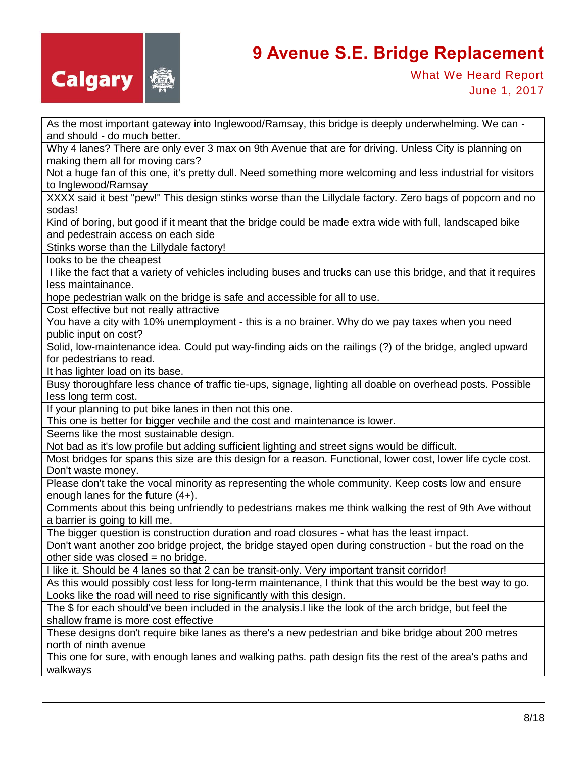

As the most important gateway into Inglewood/Ramsay, this bridge is deeply underwhelming. We can and should - do much better.

Why 4 lanes? There are only ever 3 max on 9th Avenue that are for driving. Unless City is planning on making them all for moving cars?

Not a huge fan of this one, it's pretty dull. Need something more welcoming and less industrial for visitors to Inglewood/Ramsay

XXXX said it best "pew!" This design stinks worse than the Lillydale factory. Zero bags of popcorn and no sodas!

Kind of boring, but good if it meant that the bridge could be made extra wide with full, landscaped bike and pedestrain access on each side

Stinks worse than the Lillydale factory!

looks to be the cheapest

I like the fact that a variety of vehicles including buses and trucks can use this bridge, and that it requires less maintainance.

hope pedestrian walk on the bridge is safe and accessible for all to use.

Cost effective but not really attractive

You have a city with 10% unemployment - this is a no brainer. Why do we pay taxes when you need public input on cost?

Solid, low-maintenance idea. Could put way-finding aids on the railings (?) of the bridge, angled upward for pedestrians to read.

It has lighter load on its base.

Busy thoroughfare less chance of traffic tie-ups, signage, lighting all doable on overhead posts. Possible less long term cost.

If your planning to put bike lanes in then not this one.

This one is better for bigger vechile and the cost and maintenance is lower.

Seems like the most sustainable design.

Not bad as it's low profile but adding sufficient lighting and street signs would be difficult.

Most bridges for spans this size are this design for a reason. Functional, lower cost, lower life cycle cost. Don't waste money.

Please don't take the vocal minority as representing the whole community. Keep costs low and ensure enough lanes for the future (4+).

Comments about this being unfriendly to pedestrians makes me think walking the rest of 9th Ave without a barrier is going to kill me.

The bigger question is construction duration and road closures - what has the least impact.

Don't want another zoo bridge project, the bridge stayed open during construction - but the road on the other side was closed  $=$  no bridge.

I like it. Should be 4 lanes so that 2 can be transit-only. Very important transit corridor!

As this would possibly cost less for long-term maintenance, I think that this would be the best way to go. Looks like the road will need to rise significantly with this design.

The \$ for each should've been included in the analysis.I like the look of the arch bridge, but feel the shallow frame is more cost effective

These designs don't require bike lanes as there's a new pedestrian and bike bridge about 200 metres north of ninth avenue

This one for sure, with enough lanes and walking paths. path design fits the rest of the area's paths and walkways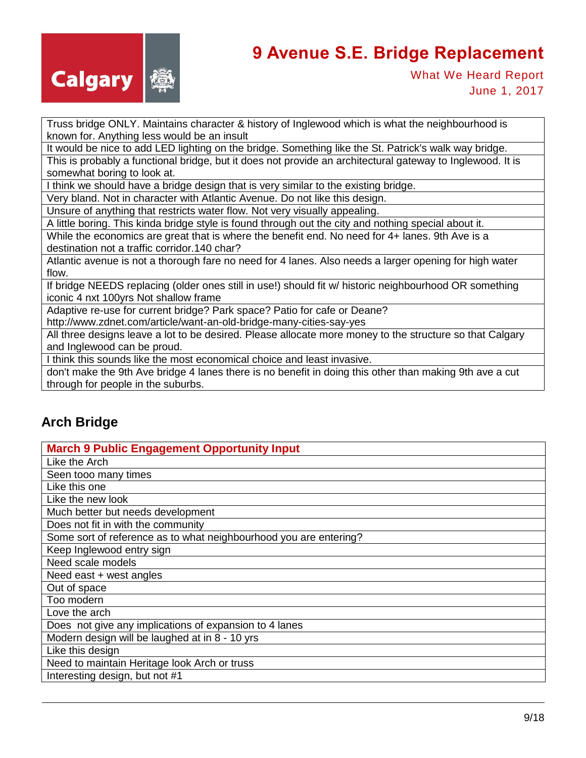

What We Heard Report June 1, 2017

Truss bridge ONLY. Maintains character & history of Inglewood which is what the neighbourhood is known for. Anything less would be an insult

It would be nice to add LED lighting on the bridge. Something like the St. Patrick's walk way bridge. This is probably a functional bridge, but it does not provide an architectural gateway to Inglewood. It is somewhat boring to look at.

I think we should have a bridge design that is very similar to the existing bridge.

Very bland. Not in character with Atlantic Avenue. Do not like this design.

Unsure of anything that restricts water flow. Not very visually appealing.

A little boring. This kinda bridge style is found through out the city and nothing special about it.

While the economics are great that is where the benefit end. No need for 4+ lanes. 9th Ave is a destination not a traffic corridor.140 char?

Atlantic avenue is not a thorough fare no need for 4 lanes. Also needs a larger opening for high water flow.

If bridge NEEDS replacing (older ones still in use!) should fit w/ historic neighbourhood OR something iconic 4 nxt 100yrs Not shallow frame

Adaptive re-use for current bridge? Park space? Patio for cafe or Deane?

http://www.zdnet.com/article/want-an-old-bridge-many-cities-say-yes

All three designs leave a lot to be desired. Please allocate more money to the structure so that Calgary and Inglewood can be proud.

I think this sounds like the most economical choice and least invasive.

don't make the 9th Ave bridge 4 lanes there is no benefit in doing this other than making 9th ave a cut through for people in the suburbs.

#### **Arch Bridge**

| <b>March 9 Public Engagement Opportunity Input</b>                |
|-------------------------------------------------------------------|
| Like the Arch                                                     |
| Seen tooo many times                                              |
| Like this one                                                     |
| Like the new look                                                 |
| Much better but needs development                                 |
| Does not fit in with the community                                |
| Some sort of reference as to what neighbourhood you are entering? |
| Keep Inglewood entry sign                                         |
| Need scale models                                                 |
| Need east + west angles                                           |
| Out of space                                                      |
| Too modern                                                        |
| Love the arch                                                     |
| Does not give any implications of expansion to 4 lanes            |
| Modern design will be laughed at in 8 - 10 yrs                    |
| Like this design                                                  |
| Need to maintain Heritage look Arch or truss                      |
| Interesting design, but not #1                                    |
|                                                                   |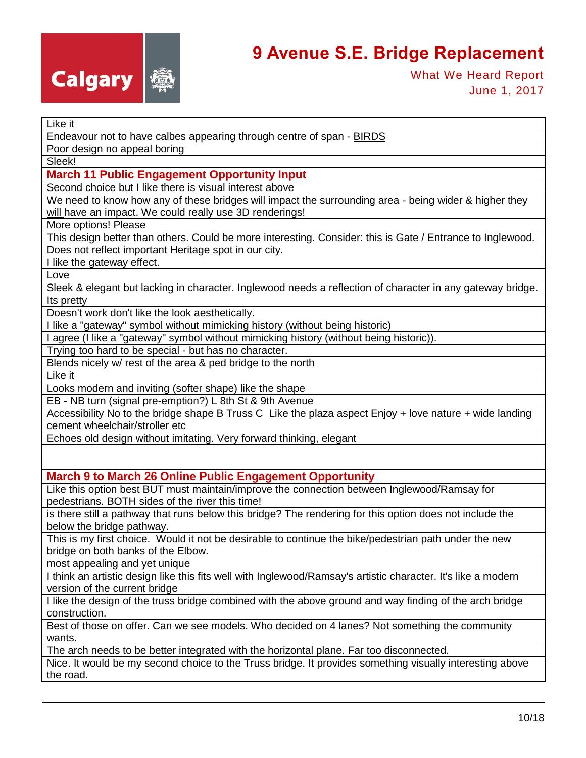

What We Heard Report June 1, 2017

#### Like it

Endeavour not to have calbes appearing through centre of span - BIRDS

Poor design no appeal boring

Sleek!

#### **March 11 Public Engagement Opportunity Input**

Second choice but I like there is visual interest above

We need to know how any of these bridges will impact the surrounding area - being wider & higher they will have an impact. We could really use 3D renderings!

More options! Please

This design better than others. Could be more interesting. Consider: this is Gate / Entrance to Inglewood. Does not reflect important Heritage spot in our city.

I like the gateway effect.

Love

Sleek & elegant but lacking in character. Inglewood needs a reflection of character in any gateway bridge. Its pretty

Doesn't work don't like the look aesthetically.

I like a "gateway" symbol without mimicking history (without being historic)

I agree (I like a "gateway" symbol without mimicking history (without being historic)).

Trying too hard to be special - but has no character.

Blends nicely w/ rest of the area & ped bridge to the north

Like it

Looks modern and inviting (softer shape) like the shape

EB - NB turn (signal pre-emption?) L 8th St & 9th Avenue

Accessibility No to the bridge shape B Truss C Like the plaza aspect Enjoy + love nature + wide landing cement wheelchair/stroller etc

Echoes old design without imitating. Very forward thinking, elegant

**March 9 to March 26 Online Public Engagement Opportunity**

Like this option best BUT must maintain/improve the connection between Inglewood/Ramsay for pedestrians. BOTH sides of the river this time!

is there still a pathway that runs below this bridge? The rendering for this option does not include the below the bridge pathway.

This is my first choice. Would it not be desirable to continue the bike/pedestrian path under the new bridge on both banks of the Elbow.

most appealing and yet unique

I think an artistic design like this fits well with Inglewood/Ramsay's artistic character. It's like a modern version of the current bridge

I like the design of the truss bridge combined with the above ground and way finding of the arch bridge construction.

Best of those on offer. Can we see models. Who decided on 4 lanes? Not something the community wants.

The arch needs to be better integrated with the horizontal plane. Far too disconnected.

Nice. It would be my second choice to the Truss bridge. It provides something visually interesting above the road.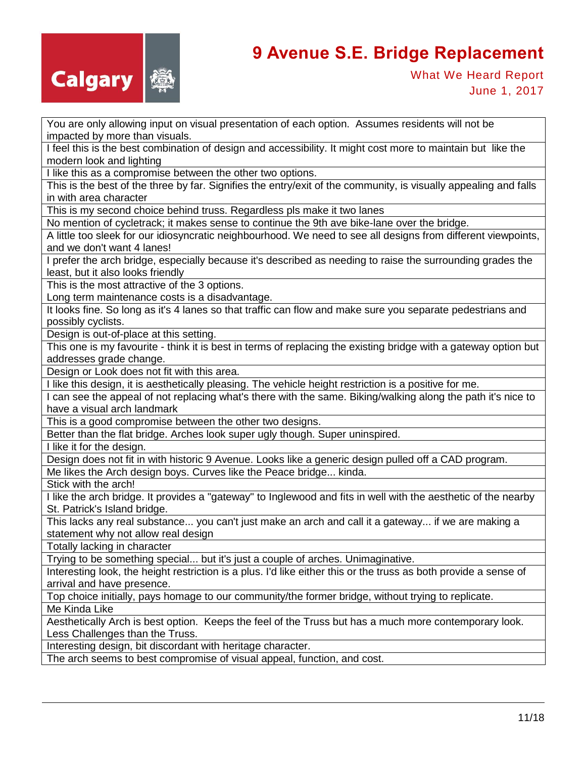

What We Heard Report June 1, 2017

You are only allowing input on visual presentation of each option. Assumes residents will not be impacted by more than visuals.

I feel this is the best combination of design and accessibility. It might cost more to maintain but like the modern look and lighting

I like this as a compromise between the other two options.

This is the best of the three by far. Signifies the entry/exit of the community, is visually appealing and falls in with area character

This is my second choice behind truss. Regardless pls make it two lanes

No mention of cycletrack; it makes sense to continue the 9th ave bike-lane over the bridge.

A little too sleek for our idiosyncratic neighbourhood. We need to see all designs from different viewpoints, and we don't want 4 lanes!

I prefer the arch bridge, especially because it's described as needing to raise the surrounding grades the least, but it also looks friendly

This is the most attractive of the 3 options.

Long term maintenance costs is a disadvantage.

It looks fine. So long as it's 4 lanes so that traffic can flow and make sure you separate pedestrians and possibly cyclists.

Design is out-of-place at this setting.

This one is my favourite - think it is best in terms of replacing the existing bridge with a gateway option but addresses grade change.

Design or Look does not fit with this area.

I like this design, it is aesthetically pleasing. The vehicle height restriction is a positive for me.

I can see the appeal of not replacing what's there with the same. Biking/walking along the path it's nice to have a visual arch landmark

This is a good compromise between the other two designs.

Better than the flat bridge. Arches look super ugly though. Super uninspired.

I like it for the design.

Design does not fit in with historic 9 Avenue. Looks like a generic design pulled off a CAD program. Me likes the Arch design boys. Curves like the Peace bridge... kinda.

Stick with the arch!

I like the arch bridge. It provides a "gateway" to Inglewood and fits in well with the aesthetic of the nearby St. Patrick's Island bridge.

This lacks any real substance... you can't just make an arch and call it a gateway... if we are making a statement why not allow real design

Totally lacking in character

Trying to be something special... but it's just a couple of arches. Unimaginative.

Interesting look, the height restriction is a plus. I'd like either this or the truss as both provide a sense of arrival and have presence.

Top choice initially, pays homage to our community/the former bridge, without trying to replicate.

Me Kinda Like

Aesthetically Arch is best option. Keeps the feel of the Truss but has a much more contemporary look. Less Challenges than the Truss.

Interesting design, bit discordant with heritage character.

The arch seems to best compromise of visual appeal, function, and cost.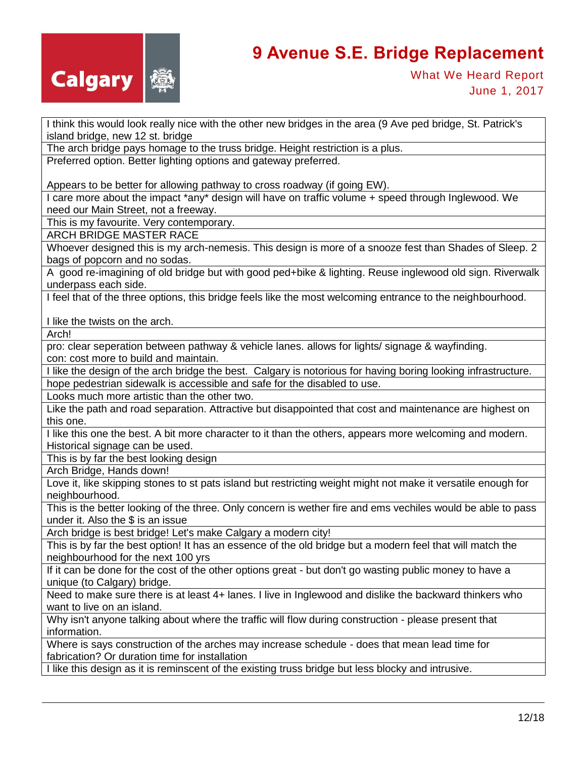

What We Heard Report June 1, 2017

I think this would look really nice with the other new bridges in the area (9 Ave ped bridge, St. Patrick's island bridge, new 12 st. bridge

The arch bridge pays homage to the truss bridge. Height restriction is a plus.

Preferred option. Better lighting options and gateway preferred.

Appears to be better for allowing pathway to cross roadway (if going EW).

I care more about the impact \*any\* design will have on traffic volume + speed through Inglewood. We need our Main Street, not a freeway.

This is my favourite. Very contemporary.

ARCH BRIDGE MASTER RACE

Whoever designed this is my arch-nemesis. This design is more of a snooze fest than Shades of Sleep. 2 bags of popcorn and no sodas.

A good re-imagining of old bridge but with good ped+bike & lighting. Reuse inglewood old sign. Riverwalk underpass each side.

I feel that of the three options, this bridge feels like the most welcoming entrance to the neighbourhood.

I like the twists on the arch.

Arch!

pro: clear seperation between pathway & vehicle lanes. allows for lights/ signage & wayfinding. con: cost more to build and maintain.

I like the design of the arch bridge the best. Calgary is notorious for having boring looking infrastructure. hope pedestrian sidewalk is accessible and safe for the disabled to use.

Looks much more artistic than the other two.

Like the path and road separation. Attractive but disappointed that cost and maintenance are highest on this one.

I like this one the best. A bit more character to it than the others, appears more welcoming and modern. Historical signage can be used.

This is by far the best looking design

Arch Bridge, Hands down!

Love it, like skipping stones to st pats island but restricting weight might not make it versatile enough for neighbourhood.

This is the better looking of the three. Only concern is wether fire and ems vechiles would be able to pass under it. Also the \$ is an issue

Arch bridge is best bridge! Let's make Calgary a modern city!

This is by far the best option! It has an essence of the old bridge but a modern feel that will match the neighbourhood for the next 100 yrs

If it can be done for the cost of the other options great - but don't go wasting public money to have a unique (to Calgary) bridge.

Need to make sure there is at least 4+ lanes. I live in Inglewood and dislike the backward thinkers who want to live on an island.

Why isn't anyone talking about where the traffic will flow during construction - please present that information.

Where is says construction of the arches may increase schedule - does that mean lead time for fabrication? Or duration time for installation

I like this design as it is reminscent of the existing truss bridge but less blocky and intrusive.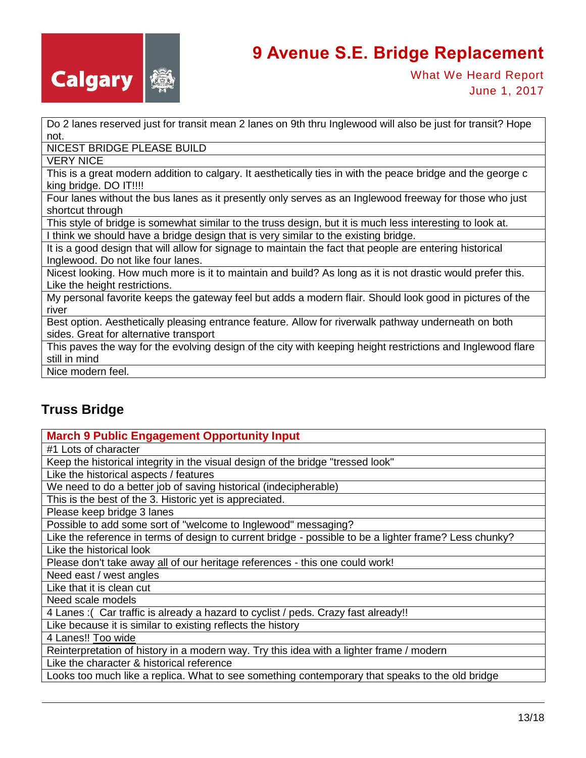

What We Heard Report June 1, 2017

Do 2 lanes reserved just for transit mean 2 lanes on 9th thru Inglewood will also be just for transit? Hope not.

NICEST BRIDGE PLEASE BUILD

VERY NICE

This is a great modern addition to calgary. It aesthetically ties in with the peace bridge and the george c king bridge. DO IT!!!!

Four lanes without the bus lanes as it presently only serves as an Inglewood freeway for those who just shortcut through

This style of bridge is somewhat similar to the truss design, but it is much less interesting to look at. I think we should have a bridge design that is very similar to the existing bridge.

It is a good design that will allow for signage to maintain the fact that people are entering historical Inglewood. Do not like four lanes.

Nicest looking. How much more is it to maintain and build? As long as it is not drastic would prefer this. Like the height restrictions.

My personal favorite keeps the gateway feel but adds a modern flair. Should look good in pictures of the river

Best option. Aesthetically pleasing entrance feature. Allow for riverwalk pathway underneath on both sides. Great for alternative transport

This paves the way for the evolving design of the city with keeping height restrictions and Inglewood flare still in mind

Nice modern feel.

#### **Truss Bridge**

| <b>March 9 Public Engagement Opportunity Input</b>                                                     |
|--------------------------------------------------------------------------------------------------------|
| #1 Lots of character                                                                                   |
| Keep the historical integrity in the visual design of the bridge "tressed look"                        |
| Like the historical aspects / features                                                                 |
| We need to do a better job of saving historical (indecipherable)                                       |
| This is the best of the 3. Historic yet is appreciated.                                                |
| Please keep bridge 3 lanes                                                                             |
| Possible to add some sort of "welcome to Inglewood" messaging?                                         |
| Like the reference in terms of design to current bridge - possible to be a lighter frame? Less chunky? |
| Like the historical look                                                                               |
| Please don't take away all of our heritage references - this one could work!                           |
| Need east / west angles                                                                                |
| Like that it is clean cut                                                                              |
| Need scale models                                                                                      |
| 4 Lanes: (Car traffic is already a hazard to cyclist / peds. Crazy fast already!!                      |
| Like because it is similar to existing reflects the history                                            |
| 4 Lanes!! Too wide                                                                                     |
| Reinterpretation of history in a modern way. Try this idea with a lighter frame / modern               |
| Like the character & historical reference                                                              |
| Looks too much like a replica. What to see something contemporary that speaks to the old bridge        |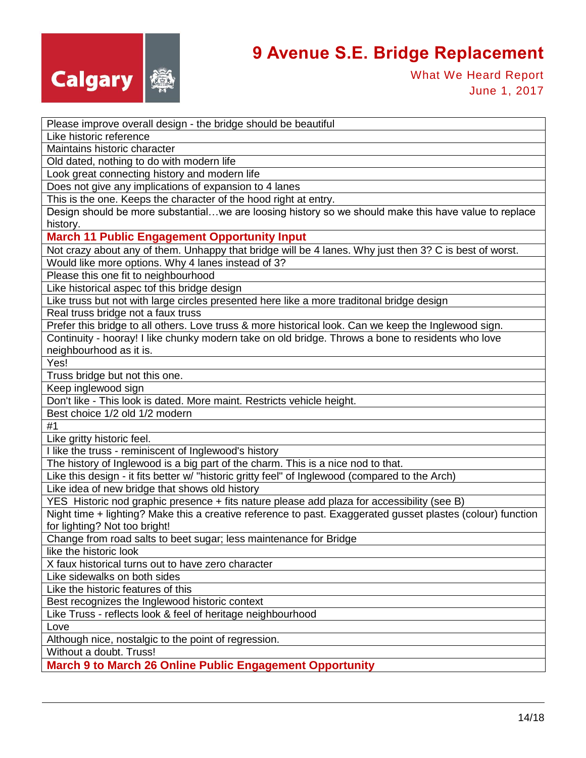

What We Heard Report June 1, 2017

| Please improve overall design - the bridge should be beautiful                                                   |
|------------------------------------------------------------------------------------------------------------------|
| Like historic reference                                                                                          |
| Maintains historic character                                                                                     |
| Old dated, nothing to do with modern life                                                                        |
| Look great connecting history and modern life                                                                    |
| Does not give any implications of expansion to 4 lanes                                                           |
|                                                                                                                  |
| This is the one. Keeps the character of the hood right at entry.                                                 |
| Design should be more substantialwe are loosing history so we should make this have value to replace<br>history. |
| <b>March 11 Public Engagement Opportunity Input</b>                                                              |
| Not crazy about any of them. Unhappy that bridge will be 4 lanes. Why just then 3? C is best of worst.           |
| Would like more options. Why 4 lanes instead of 3?                                                               |
| Please this one fit to neighbourhood                                                                             |
| Like historical aspec tof this bridge design                                                                     |
| Like truss but not with large circles presented here like a more traditonal bridge design                        |
| Real truss bridge not a faux truss                                                                               |
| Prefer this bridge to all others. Love truss & more historical look. Can we keep the Inglewood sign.             |
| Continuity - hooray! I like chunky modern take on old bridge. Throws a bone to residents who love                |
| neighbourhood as it is.                                                                                          |
| Yes!                                                                                                             |
| Truss bridge but not this one.                                                                                   |
| Keep inglewood sign                                                                                              |
| Don't like - This look is dated. More maint. Restricts vehicle height.                                           |
| Best choice 1/2 old 1/2 modern                                                                                   |
| #1                                                                                                               |
| Like gritty historic feel.                                                                                       |
| I like the truss - reminiscent of Inglewood's history                                                            |
| The history of Inglewood is a big part of the charm. This is a nice nod to that.                                 |
| Like this design - it fits better w/ "historic gritty feel" of Inglewood (compared to the Arch)                  |
| Like idea of new bridge that shows old history                                                                   |
| YES Historic nod graphic presence + fits nature please add plaza for accessibility (see B)                       |
| Night time + lighting? Make this a creative reference to past. Exaggerated gusset plastes (colour) function      |
| for lighting? Not too bright!                                                                                    |
| Change from road salts to beet sugar; less maintenance for Bridge                                                |
| like the historic look                                                                                           |
| X faux historical turns out to have zero character                                                               |
| Like sidewalks on both sides                                                                                     |
| Like the historic features of this                                                                               |
| Best recognizes the Inglewood historic context                                                                   |
| Like Truss - reflects look & feel of heritage neighbourhood                                                      |
| Love                                                                                                             |
| Although nice, nostalgic to the point of regression.                                                             |
| Without a doubt. Truss!                                                                                          |
| <b>March 9 to March 26 Online Public Engagement Opportunity</b>                                                  |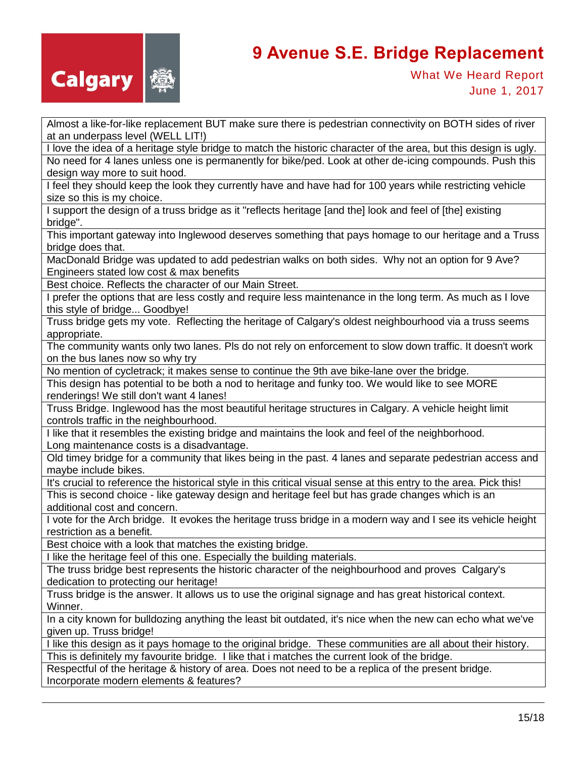

Almost a like-for-like replacement BUT make sure there is pedestrian connectivity on BOTH sides of river at an underpass level (WELL LIT!)

I love the idea of a heritage style bridge to match the historic character of the area, but this design is ugly. No need for 4 lanes unless one is permanently for bike/ped. Look at other de-icing compounds. Push this design way more to suit hood.

I feel they should keep the look they currently have and have had for 100 years while restricting vehicle size so this is my choice.

I support the design of a truss bridge as it "reflects heritage [and the] look and feel of [the] existing bridge".

This important gateway into Inglewood deserves something that pays homage to our heritage and a Truss bridge does that.

MacDonald Bridge was updated to add pedestrian walks on both sides. Why not an option for 9 Ave? Engineers stated low cost & max benefits

Best choice. Reflects the character of our Main Street.

I prefer the options that are less costly and require less maintenance in the long term. As much as I love this style of bridge... Goodbye!

Truss bridge gets my vote. Reflecting the heritage of Calgary's oldest neighbourhood via a truss seems appropriate.

The community wants only two lanes. Pls do not rely on enforcement to slow down traffic. It doesn't work on the bus lanes now so why try

No mention of cycletrack; it makes sense to continue the 9th ave bike-lane over the bridge.

This design has potential to be both a nod to heritage and funky too. We would like to see MORE renderings! We still don't want 4 lanes!

Truss Bridge. Inglewood has the most beautiful heritage structures in Calgary. A vehicle height limit controls traffic in the neighbourhood.

I like that it resembles the existing bridge and maintains the look and feel of the neighborhood. Long maintenance costs is a disadvantage.

Old timey bridge for a community that likes being in the past. 4 lanes and separate pedestrian access and maybe include bikes.

It's crucial to reference the historical style in this critical visual sense at this entry to the area. Pick this!

This is second choice - like gateway design and heritage feel but has grade changes which is an additional cost and concern.

I vote for the Arch bridge. It evokes the heritage truss bridge in a modern way and I see its vehicle height restriction as a benefit.

Best choice with a look that matches the existing bridge.

I like the heritage feel of this one. Especially the building materials.

The truss bridge best represents the historic character of the neighbourhood and proves Calgary's dedication to protecting our heritage!

Truss bridge is the answer. It allows us to use the original signage and has great historical context. Winner.

In a city known for bulldozing anything the least bit outdated, it's nice when the new can echo what we've given up. Truss bridge!

I like this design as it pays homage to the original bridge. These communities are all about their history. This is definitely my favourite bridge. I like that i matches the current look of the bridge.

Respectful of the heritage & history of area. Does not need to be a replica of the present bridge. Incorporate modern elements & features?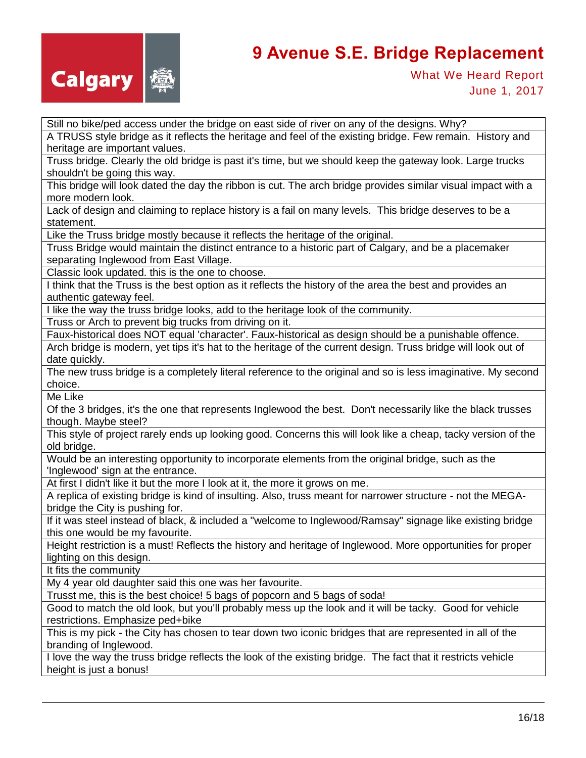

What We Heard Report June 1, 2017

Still no bike/ped access under the bridge on east side of river on any of the designs. Why?

A TRUSS style bridge as it reflects the heritage and feel of the existing bridge. Few remain. History and heritage are important values.

Truss bridge. Clearly the old bridge is past it's time, but we should keep the gateway look. Large trucks shouldn't be going this way.

This bridge will look dated the day the ribbon is cut. The arch bridge provides similar visual impact with a more modern look.

Lack of design and claiming to replace history is a fail on many levels. This bridge deserves to be a statement.

Like the Truss bridge mostly because it reflects the heritage of the original.

Truss Bridge would maintain the distinct entrance to a historic part of Calgary, and be a placemaker separating Inglewood from East Village.

Classic look updated. this is the one to choose.

I think that the Truss is the best option as it reflects the history of the area the best and provides an authentic gateway feel.

I like the way the truss bridge looks, add to the heritage look of the community.

Truss or Arch to prevent big trucks from driving on it.

Faux-historical does NOT equal 'character'. Faux-historical as design should be a punishable offence.

Arch bridge is modern, yet tips it's hat to the heritage of the current design. Truss bridge will look out of date quickly.

The new truss bridge is a completely literal reference to the original and so is less imaginative. My second choice.

Me Like

Of the 3 bridges, it's the one that represents Inglewood the best. Don't necessarily like the black trusses though. Maybe steel?

This style of project rarely ends up looking good. Concerns this will look like a cheap, tacky version of the old bridge.

Would be an interesting opportunity to incorporate elements from the original bridge, such as the 'Inglewood' sign at the entrance.

At first I didn't like it but the more I look at it, the more it grows on me.

A replica of existing bridge is kind of insulting. Also, truss meant for narrower structure - not the MEGAbridge the City is pushing for.

If it was steel instead of black, & included a "welcome to Inglewood/Ramsay" signage like existing bridge this one would be my favourite.

Height restriction is a must! Reflects the history and heritage of Inglewood. More opportunities for proper lighting on this design.

It fits the community

My 4 year old daughter said this one was her favourite.

Trusst me, this is the best choice! 5 bags of popcorn and 5 bags of soda!

Good to match the old look, but you'll probably mess up the look and it will be tacky. Good for vehicle restrictions. Emphasize ped+bike

This is my pick - the City has chosen to tear down two iconic bridges that are represented in all of the branding of Inglewood.

I love the way the truss bridge reflects the look of the existing bridge. The fact that it restricts vehicle height is just a bonus!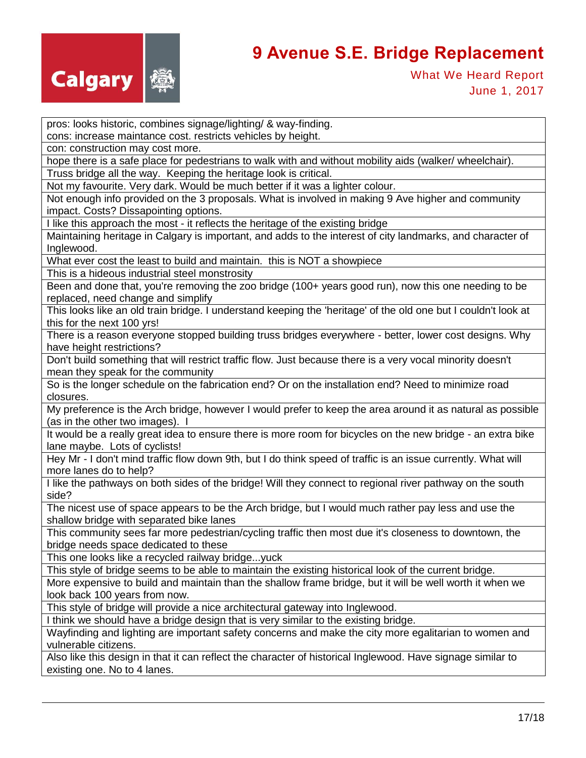

What We Heard Report June 1, 2017

pros: looks historic, combines signage/lighting/ & way-finding.

cons: increase maintance cost. restricts vehicles by height.

con: construction may cost more.

hope there is a safe place for pedestrians to walk with and without mobility aids (walker/ wheelchair). Truss bridge all the way. Keeping the heritage look is critical.

Not my favourite. Very dark. Would be much better if it was a lighter colour.

Not enough info provided on the 3 proposals. What is involved in making 9 Ave higher and community impact. Costs? Dissapointing options.

I like this approach the most - it reflects the heritage of the existing bridge

Maintaining heritage in Calgary is important, and adds to the interest of city landmarks, and character of Inglewood.

What ever cost the least to build and maintain. this is NOT a showpiece

This is a hideous industrial steel monstrosity

Been and done that, you're removing the zoo bridge (100+ years good run), now this one needing to be replaced, need change and simplify

This looks like an old train bridge. I understand keeping the 'heritage' of the old one but I couldn't look at this for the next 100 yrs!

There is a reason everyone stopped building truss bridges everywhere - better, lower cost designs. Why have height restrictions?

Don't build something that will restrict traffic flow. Just because there is a very vocal minority doesn't mean they speak for the community

So is the longer schedule on the fabrication end? Or on the installation end? Need to minimize road closures.

My preference is the Arch bridge, however I would prefer to keep the area around it as natural as possible (as in the other two images). I

It would be a really great idea to ensure there is more room for bicycles on the new bridge - an extra bike lane maybe. Lots of cyclists!

Hey Mr - I don't mind traffic flow down 9th, but I do think speed of traffic is an issue currently. What will more lanes do to help?

I like the pathways on both sides of the bridge! Will they connect to regional river pathway on the south side?

The nicest use of space appears to be the Arch bridge, but I would much rather pay less and use the shallow bridge with separated bike lanes

This community sees far more pedestrian/cycling traffic then most due it's closeness to downtown, the bridge needs space dedicated to these

This one looks like a recycled railway bridge...yuck

This style of bridge seems to be able to maintain the existing historical look of the current bridge.

More expensive to build and maintain than the shallow frame bridge, but it will be well worth it when we look back 100 years from now.

This style of bridge will provide a nice architectural gateway into Inglewood.

I think we should have a bridge design that is very similar to the existing bridge.

Wayfinding and lighting are important safety concerns and make the city more egalitarian to women and vulnerable citizens.

Also like this design in that it can reflect the character of historical Inglewood. Have signage similar to existing one. No to 4 lanes.